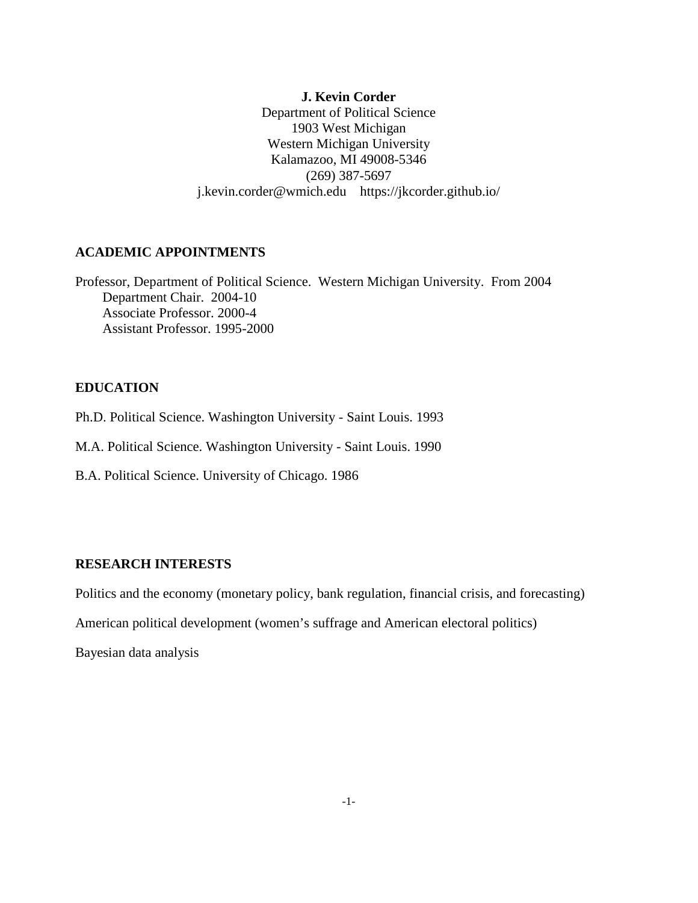**J. Kevin Corder** Department of Political Science 1903 West Michigan Western Michigan University Kalamazoo, MI 49008-5346 (269) 387-5697 [j.kevin.corder@wmich.edu](mailto:j.kevin.corder@wmich.edu) https://jkcorder.github.io/

## **ACADEMIC APPOINTMENTS**

Professor, Department of Political Science. Western Michigan University. From 2004 Department Chair. 2004-10 Associate Professor. 2000-4 Assistant Professor. 1995-2000

### **EDUCATION**

Ph.D. Political Science. Washington University - Saint Louis. 1993

M.A. Political Science. Washington University - Saint Louis. 1990

B.A. Political Science. University of Chicago. 1986

# **RESEARCH INTERESTS**

Politics and the economy (monetary policy, bank regulation, financial crisis, and forecasting)

American political development (women's suffrage and American electoral politics)

Bayesian data analysis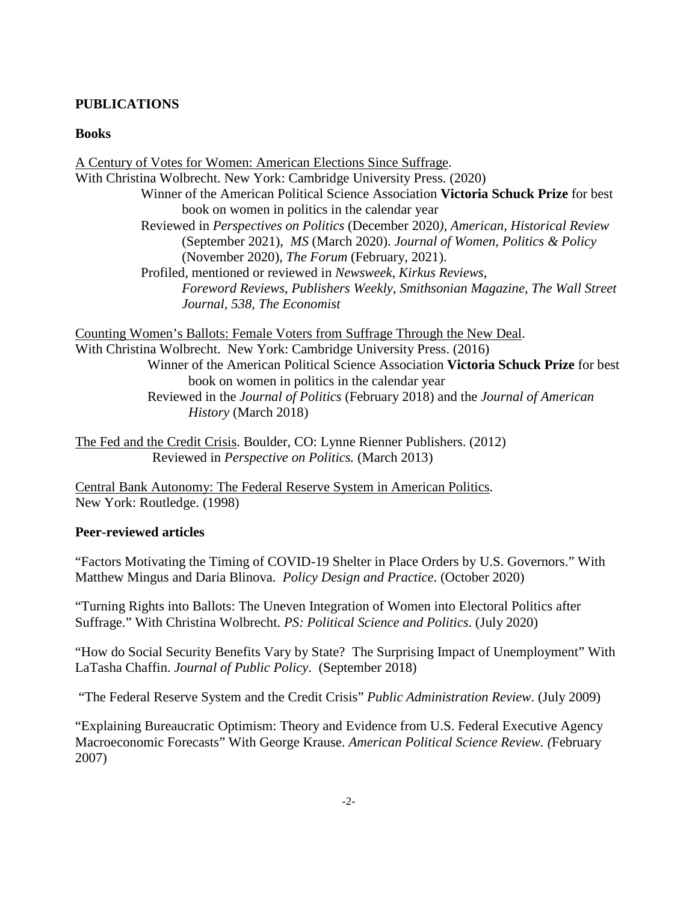## **PUBLICATIONS**

## **Books**

A Century of Votes for Women: American Elections Since Suffrage. With Christina Wolbrecht. New York: Cambridge University Press. (2020) Winner of the American Political Science Association **Victoria Schuck Prize** for best book on women in politics in the calendar year Reviewed in *Perspectives on Politics* (December 2020*), American, Historical Review* (September 2021), *MS* (March 2020). *Journal of Women, Politics & Policy* (November 2020), *The Forum* (February, 2021). Profiled, mentioned or reviewed in *Newsweek*, *Kirkus Reviews*, *Foreword Reviews*, *Publishers Weekly, Smithsonian Magazine, The Wall Street Journal, 538, The Economist*

Counting Women's Ballots: Female Voters from Suffrage Through the New Deal. With Christina Wolbrecht. New York: Cambridge University Press. (2016) Winner of the American Political Science Association **Victoria Schuck Prize** for best book on women in politics in the calendar year Reviewed in the *Journal of Politics* (February 2018) and the *Journal of American History* (March 2018)

The Fed and the Credit Crisis. Boulder, CO: Lynne Rienner Publishers. (2012) Reviewed in *Perspective on Politics.* (March 2013)

Central Bank Autonomy: The Federal Reserve System in American Politics. New York: Routledge. (1998)

## **Peer-reviewed articles**

"Factors Motivating the Timing of COVID-19 Shelter in Place Orders by U.S. Governors." With Matthew Mingus and Daria Blinova. *Policy Design and Practice*. (October 2020)

"Turning Rights into Ballots: The Uneven Integration of Women into Electoral Politics after Suffrage." With Christina Wolbrecht. *PS: Political Science and Politics*. (July 2020)

"How do Social Security Benefits Vary by State? The Surprising Impact of Unemployment" With LaTasha Chaffin. *Journal of Public Policy*. (September 2018)

"The Federal Reserve System and the Credit Crisis" *Public Administration Review*. (July 2009)

"Explaining Bureaucratic Optimism: Theory and Evidence from U.S. Federal Executive Agency Macroeconomic Forecasts" With George Krause. *American Political Science Review. (*February 2007)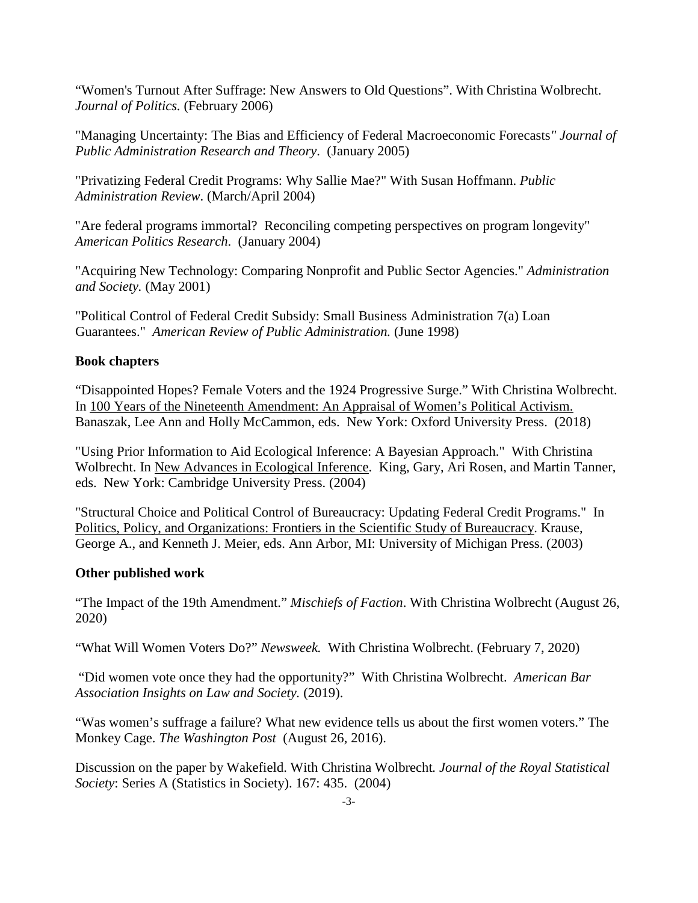"Women's Turnout After Suffrage: New Answers to Old Questions". With Christina Wolbrecht. *Journal of Politics.* (February 2006)

"Managing Uncertainty: The Bias and Efficiency of Federal Macroeconomic Forecasts*" Journal of Public Administration Research and Theory*. (January 2005)

"Privatizing Federal Credit Programs: Why Sallie Mae?" With Susan Hoffmann. *Public Administration Review*. (March/April 2004)

"Are federal programs immortal? Reconciling competing perspectives on program longevity" *American Politics Research*. (January 2004)

"Acquiring New Technology: Comparing Nonprofit and Public Sector Agencies." *Administration and Society.* (May 2001)

"Political Control of Federal Credit Subsidy: Small Business Administration 7(a) Loan Guarantees." *American Review of Public Administration.* (June 1998)

# **Book chapters**

"Disappointed Hopes? Female Voters and the 1924 Progressive Surge." With Christina Wolbrecht. In 100 Years of the Nineteenth Amendment: An Appraisal of Women's Political Activism. Banaszak, Lee Ann and Holly McCammon, eds. New York: Oxford University Press. (2018)

"Using Prior Information to Aid Ecological Inference: A Bayesian Approach." With Christina Wolbrecht. In New Advances in Ecological Inference. King, Gary, Ari Rosen, and Martin Tanner, eds. New York: Cambridge University Press. (2004)

"Structural Choice and Political Control of Bureaucracy: Updating Federal Credit Programs." In Politics, Policy, and Organizations: Frontiers in the Scientific Study of Bureaucracy. Krause, George A., and Kenneth J. Meier, eds. Ann Arbor, MI: University of Michigan Press. (2003)

## **Other published work**

"The Impact of the 19th Amendment." *Mischiefs of Faction*. With Christina Wolbrecht (August 26, 2020)

"What Will Women Voters Do?" *Newsweek.* With Christina Wolbrecht. (February 7, 2020)

"Did women vote once they had the opportunity?" With Christina Wolbrecht. *American Bar Association Insights on Law and Society.* (2019).

"Was women's suffrage a failure? What new evidence tells us about the first women voters." The Monkey Cage. *The Washington Post* (August 26, 2016).

Discussion on the paper by Wakefield. With Christina Wolbrecht*. Journal of the Royal Statistical Society*: Series A (Statistics in Society). 167: 435. (2004)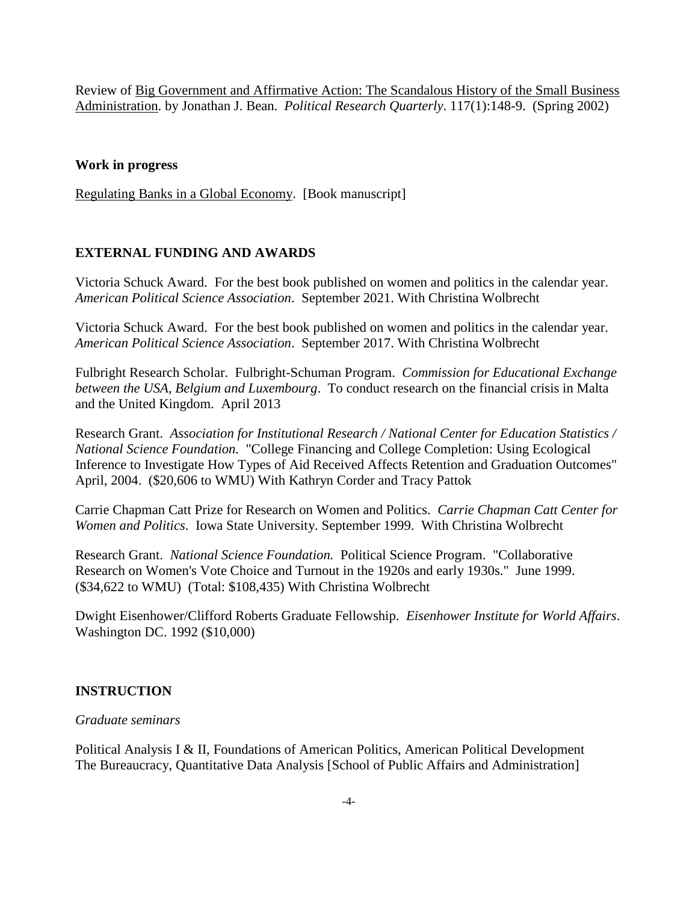Review of Big Government and Affirmative Action: The Scandalous History of the Small Business Administration. by Jonathan J. Bean. *Political Research Quarterly*. 117(1):148-9. (Spring 2002)

### **Work in progress**

Regulating Banks in a Global Economy. [Book manuscript]

## **EXTERNAL FUNDING AND AWARDS**

Victoria Schuck Award. For the best book published on women and politics in the calendar year. *American Political Science Association*. September 2021. With Christina Wolbrecht

Victoria Schuck Award. For the best book published on women and politics in the calendar year. *American Political Science Association*. September 2017. With Christina Wolbrecht

Fulbright Research Scholar. Fulbright-Schuman Program. *Commission for Educational Exchange between the USA, Belgium and Luxembourg*. To conduct research on the financial crisis in Malta and the United Kingdom. April 2013

Research Grant. *Association for Institutional Research / National Center for Education Statistics / National Science Foundation.* "College Financing and College Completion: Using Ecological Inference to Investigate How Types of Aid Received Affects Retention and Graduation Outcomes" April, 2004. (\$20,606 to WMU) With Kathryn Corder and Tracy Pattok

Carrie Chapman Catt Prize for Research on Women and Politics. *Carrie Chapman Catt Center for Women and Politics*. Iowa State University. September 1999. With Christina Wolbrecht

Research Grant. *National Science Foundation.* Political Science Program. "Collaborative Research on Women's Vote Choice and Turnout in the 1920s and early 1930s." June 1999. (\$34,622 to WMU) (Total: \$108,435) With Christina Wolbrecht

Dwight Eisenhower/Clifford Roberts Graduate Fellowship. *Eisenhower Institute for World Affairs*. Washington DC. 1992 (\$10,000)

## **INSTRUCTION**

#### *Graduate seminars*

Political Analysis I & II, Foundations of American Politics, American Political Development The Bureaucracy, Quantitative Data Analysis [School of Public Affairs and Administration]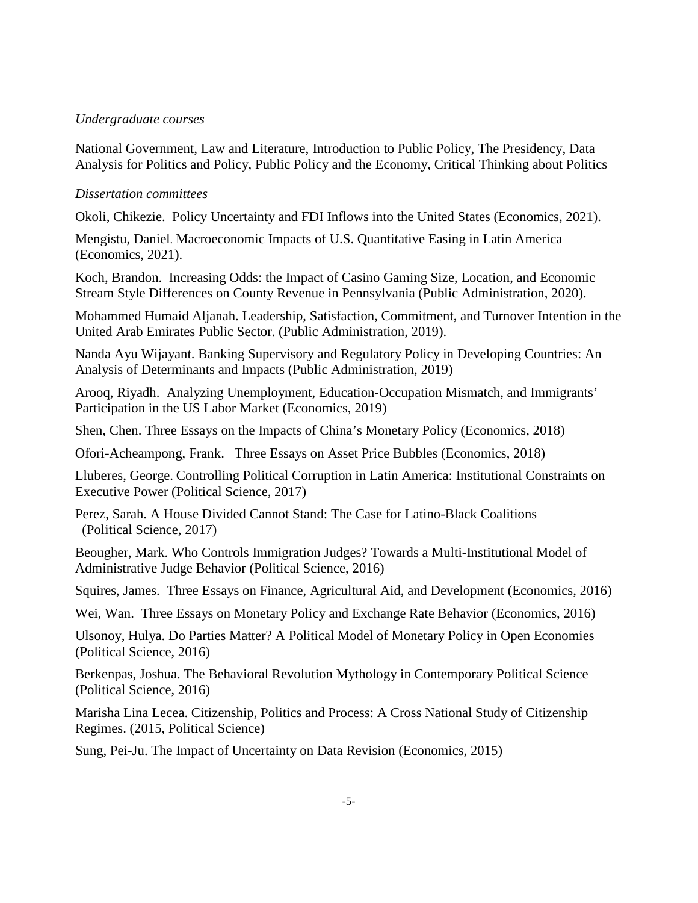#### *Undergraduate courses*

National Government, Law and Literature, Introduction to Public Policy, The Presidency, Data Analysis for Politics and Policy, Public Policy and the Economy, Critical Thinking about Politics

### *Dissertation committees*

Okoli, Chikezie. Policy Uncertainty and FDI Inflows into the United States (Economics, 2021).

Mengistu, Daniel. Macroeconomic Impacts of U.S. Quantitative Easing in Latin America (Economics, 2021).

Koch, Brandon. Increasing Odds: the Impact of Casino Gaming Size, Location, and Economic Stream Style Differences on County Revenue in Pennsylvania (Public Administration, 2020).

Mohammed Humaid Aljanah. Leadership, Satisfaction, Commitment, and Turnover Intention in the United Arab Emirates Public Sector. (Public Administration, 2019).

Nanda Ayu Wijayant. Banking Supervisory and Regulatory Policy in Developing Countries: An Analysis of Determinants and Impacts (Public Administration, 2019)

Arooq, Riyadh. Analyzing Unemployment, Education-Occupation Mismatch, and Immigrants' Participation in the US Labor Market (Economics, 2019)

Shen, Chen. Three Essays on the Impacts of China's Monetary Policy (Economics, 2018)

Ofori-Acheampong, Frank. Three Essays on Asset Price Bubbles (Economics, 2018)

Lluberes, George. Controlling Political Corruption in Latin America: Institutional Constraints on Executive Power (Political Science, 2017)

Perez, Sarah. A House Divided Cannot Stand: The Case for Latino-Black Coalitions (Political Science, 2017)

Beougher, Mark. Who Controls Immigration Judges? Towards a Multi-Institutional Model of Administrative Judge Behavior (Political Science, 2016)

Squires, James. Three Essays on Finance, Agricultural Aid, and Development (Economics, 2016)

Wei, Wan. Three Essays on Monetary Policy and Exchange Rate Behavior (Economics, 2016)

Ulsonoy, Hulya. Do Parties Matter? A Political Model of Monetary Policy in Open Economies (Political Science, 2016)

Berkenpas, Joshua. The Behavioral Revolution Mythology in Contemporary Political Science (Political Science, 2016)

Marisha Lina Lecea. Citizenship, Politics and Process: A Cross National Study of Citizenship Regimes. (2015, Political Science)

Sung, Pei-Ju. The Impact of Uncertainty on Data Revision (Economics, 2015)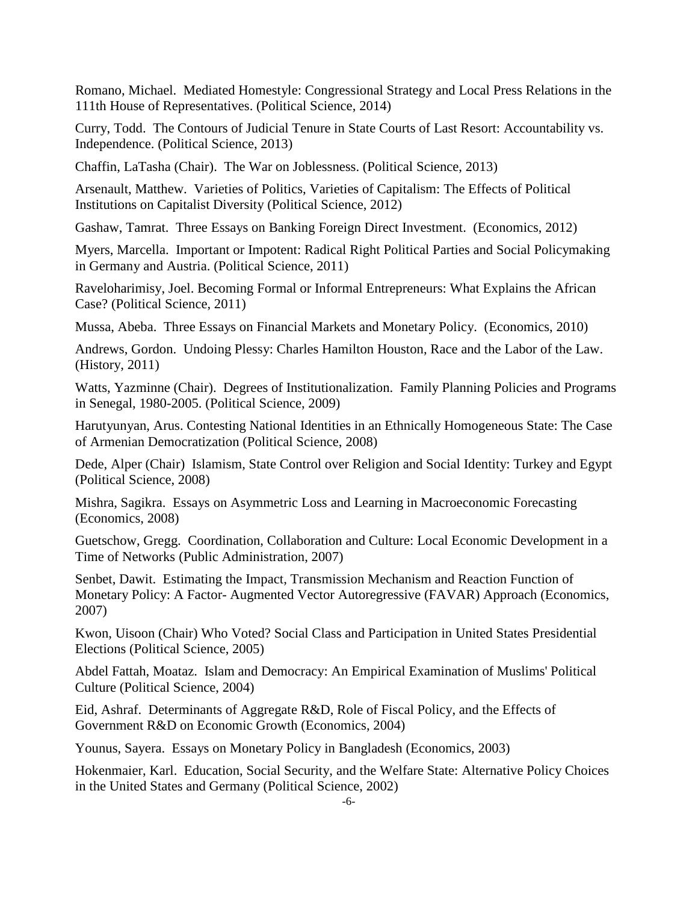Romano, Michael. Mediated Homestyle: Congressional Strategy and Local Press Relations in the 111th House of Representatives. (Political Science, 2014)

Curry, Todd. The Contours of Judicial Tenure in State Courts of Last Resort: Accountability vs. Independence. (Political Science, 2013)

Chaffin, LaTasha (Chair). The War on Joblessness. (Political Science, 2013)

Arsenault, Matthew. Varieties of Politics, Varieties of Capitalism: The Effects of Political Institutions on Capitalist Diversity (Political Science, 2012)

Gashaw, Tamrat. Three Essays on Banking Foreign Direct Investment. (Economics, 2012)

Myers, Marcella. Important or Impotent: Radical Right Political Parties and Social Policymaking in Germany and Austria. (Political Science, 2011)

Raveloharimisy, Joel. Becoming Formal or Informal Entrepreneurs: What Explains the African Case? (Political Science, 2011)

Mussa, Abeba. Three Essays on Financial Markets and Monetary Policy. (Economics, 2010)

Andrews, Gordon. Undoing Plessy: Charles Hamilton Houston, Race and the Labor of the Law. (History, 2011)

Watts, Yazminne (Chair). Degrees of Institutionalization. Family Planning Policies and Programs in Senegal, 1980-2005. (Political Science, 2009)

Harutyunyan, Arus. Contesting National Identities in an Ethnically Homogeneous State: The Case of Armenian Democratization (Political Science, 2008)

Dede, Alper (Chair) Islamism, State Control over Religion and Social Identity: Turkey and Egypt (Political Science, 2008)

Mishra, Sagikra. Essays on Asymmetric Loss and Learning in Macroeconomic Forecasting (Economics, 2008)

Guetschow, Gregg. Coordination, Collaboration and Culture: Local Economic Development in a Time of Networks (Public Administration, 2007)

Senbet, Dawit. Estimating the Impact, Transmission Mechanism and Reaction Function of Monetary Policy: A Factor- Augmented Vector Autoregressive (FAVAR) Approach (Economics, 2007)

Kwon, Uisoon (Chair) Who Voted? Social Class and Participation in United States Presidential Elections (Political Science, 2005)

Abdel Fattah, Moataz. Islam and Democracy: An Empirical Examination of Muslims' Political Culture (Political Science, 2004)

Eid, Ashraf. Determinants of Aggregate R&D, Role of Fiscal Policy, and the Effects of Government R&D on Economic Growth (Economics, 2004)

Younus, Sayera. Essays on Monetary Policy in Bangladesh (Economics, 2003)

Hokenmaier, Karl. Education, Social Security, and the Welfare State: Alternative Policy Choices in the United States and Germany (Political Science, 2002)